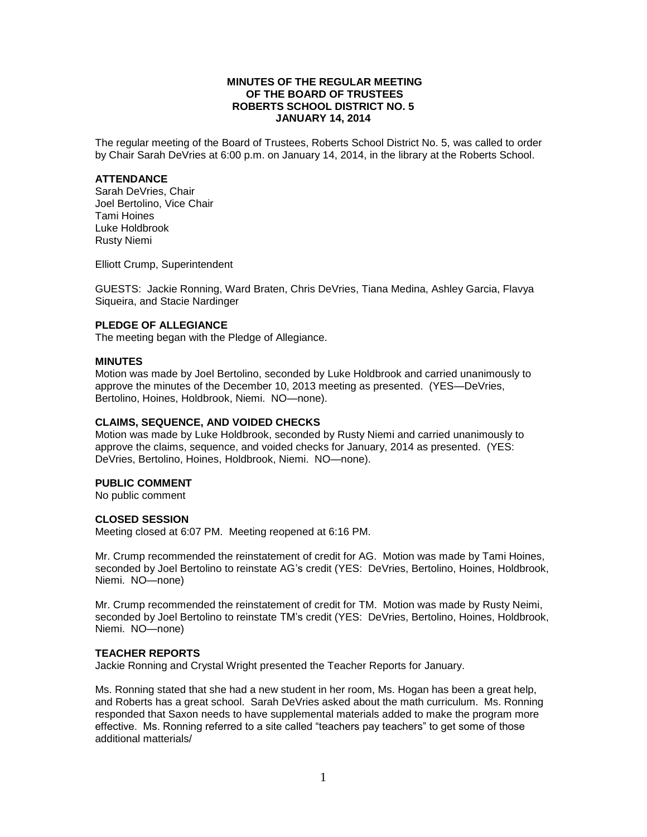## **MINUTES OF THE REGULAR MEETING OF THE BOARD OF TRUSTEES ROBERTS SCHOOL DISTRICT NO. 5 JANUARY 14, 2014**

The regular meeting of the Board of Trustees, Roberts School District No. 5, was called to order by Chair Sarah DeVries at 6:00 p.m. on January 14, 2014, in the library at the Roberts School.

### **ATTENDANCE**

Sarah DeVries, Chair Joel Bertolino, Vice Chair Tami Hoines Luke Holdbrook Rusty Niemi

Elliott Crump, Superintendent

GUESTS: Jackie Ronning, Ward Braten, Chris DeVries, Tiana Medina, Ashley Garcia, Flavya Siqueira, and Stacie Nardinger

# **PLEDGE OF ALLEGIANCE**

The meeting began with the Pledge of Allegiance.

### **MINUTES**

Motion was made by Joel Bertolino, seconded by Luke Holdbrook and carried unanimously to approve the minutes of the December 10, 2013 meeting as presented. (YES—DeVries, Bertolino, Hoines, Holdbrook, Niemi. NO—none).

### **CLAIMS, SEQUENCE, AND VOIDED CHECKS**

Motion was made by Luke Holdbrook, seconded by Rusty Niemi and carried unanimously to approve the claims, sequence, and voided checks for January, 2014 as presented. (YES: DeVries, Bertolino, Hoines, Holdbrook, Niemi. NO—none).

### **PUBLIC COMMENT**

No public comment

## **CLOSED SESSION**

Meeting closed at 6:07 PM. Meeting reopened at 6:16 PM.

Mr. Crump recommended the reinstatement of credit for AG. Motion was made by Tami Hoines, seconded by Joel Bertolino to reinstate AG's credit (YES: DeVries, Bertolino, Hoines, Holdbrook, Niemi. NO—none)

Mr. Crump recommended the reinstatement of credit for TM. Motion was made by Rusty Neimi, seconded by Joel Bertolino to reinstate TM's credit (YES: DeVries, Bertolino, Hoines, Holdbrook, Niemi. NO—none)

### **TEACHER REPORTS**

Jackie Ronning and Crystal Wright presented the Teacher Reports for January.

Ms. Ronning stated that she had a new student in her room, Ms. Hogan has been a great help, and Roberts has a great school. Sarah DeVries asked about the math curriculum. Ms. Ronning responded that Saxon needs to have supplemental materials added to make the program more effective. Ms. Ronning referred to a site called "teachers pay teachers" to get some of those additional matterials/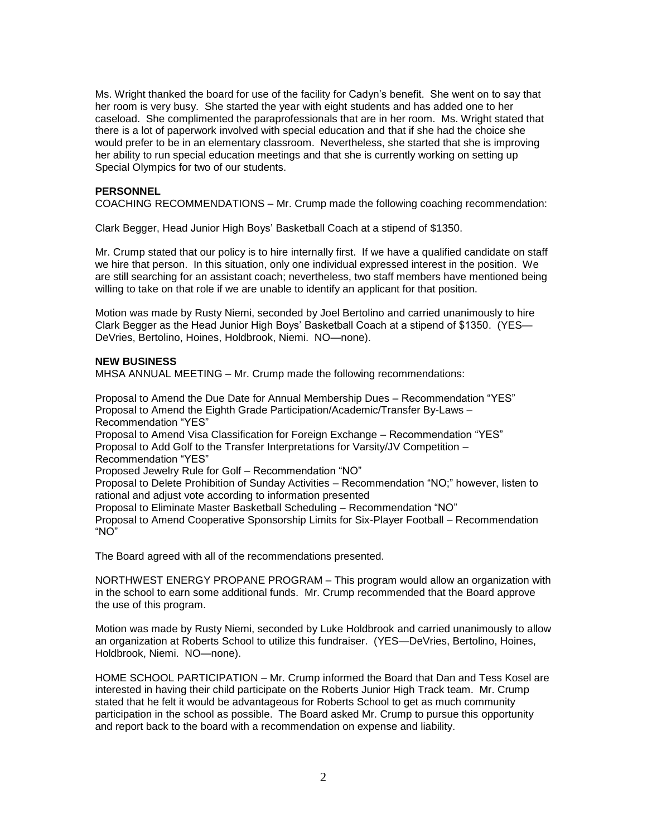Ms. Wright thanked the board for use of the facility for Cadyn's benefit. She went on to say that her room is very busy. She started the year with eight students and has added one to her caseload. She complimented the paraprofessionals that are in her room. Ms. Wright stated that there is a lot of paperwork involved with special education and that if she had the choice she would prefer to be in an elementary classroom. Nevertheless, she started that she is improving her ability to run special education meetings and that she is currently working on setting up Special Olympics for two of our students.

## **PERSONNEL**

COACHING RECOMMENDATIONS – Mr. Crump made the following coaching recommendation:

Clark Begger, Head Junior High Boys' Basketball Coach at a stipend of \$1350.

Mr. Crump stated that our policy is to hire internally first. If we have a qualified candidate on staff we hire that person. In this situation, only one individual expressed interest in the position. We are still searching for an assistant coach; nevertheless, two staff members have mentioned being willing to take on that role if we are unable to identify an applicant for that position.

Motion was made by Rusty Niemi, seconded by Joel Bertolino and carried unanimously to hire Clark Begger as the Head Junior High Boys' Basketball Coach at a stipend of \$1350. (YES— DeVries, Bertolino, Hoines, Holdbrook, Niemi. NO—none).

#### **NEW BUSINESS**

MHSA ANNUAL MEETING – Mr. Crump made the following recommendations:

Proposal to Amend the Due Date for Annual Membership Dues – Recommendation "YES" Proposal to Amend the Eighth Grade Participation/Academic/Transfer By-Laws – Recommendation "YES" Proposal to Amend Visa Classification for Foreign Exchange – Recommendation "YES" Proposal to Add Golf to the Transfer Interpretations for Varsity/JV Competition – Recommendation "YES" Proposed Jewelry Rule for Golf – Recommendation "NO" Proposal to Delete Prohibition of Sunday Activities – Recommendation "NO;" however, listen to rational and adjust vote according to information presented Proposal to Eliminate Master Basketball Scheduling – Recommendation "NO" Proposal to Amend Cooperative Sponsorship Limits for Six-Player Football – Recommendation "NO"

The Board agreed with all of the recommendations presented.

NORTHWEST ENERGY PROPANE PROGRAM – This program would allow an organization with in the school to earn some additional funds. Mr. Crump recommended that the Board approve the use of this program.

Motion was made by Rusty Niemi, seconded by Luke Holdbrook and carried unanimously to allow an organization at Roberts School to utilize this fundraiser. (YES—DeVries, Bertolino, Hoines, Holdbrook, Niemi. NO—none).

HOME SCHOOL PARTICIPATION – Mr. Crump informed the Board that Dan and Tess Kosel are interested in having their child participate on the Roberts Junior High Track team. Mr. Crump stated that he felt it would be advantageous for Roberts School to get as much community participation in the school as possible. The Board asked Mr. Crump to pursue this opportunity and report back to the board with a recommendation on expense and liability.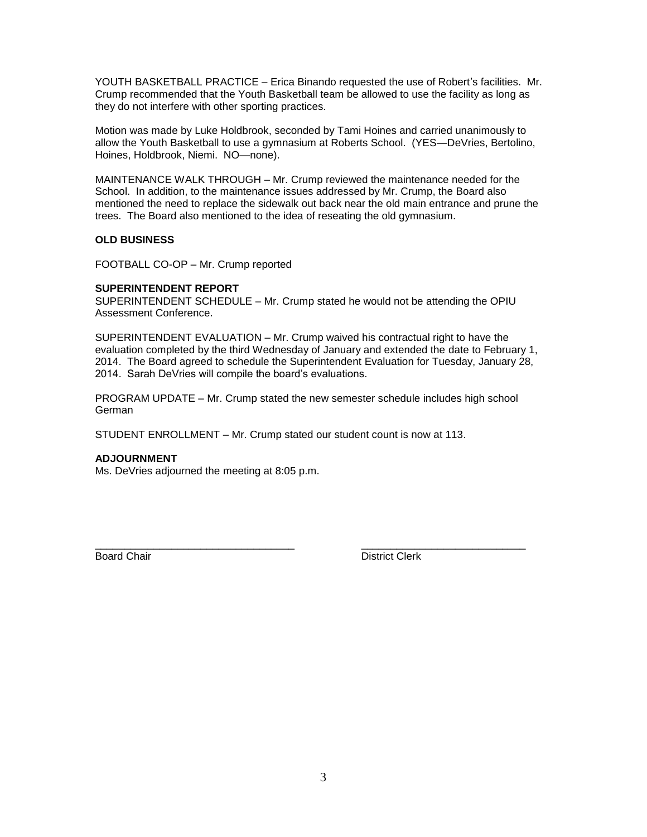YOUTH BASKETBALL PRACTICE – Erica Binando requested the use of Robert's facilities. Mr. Crump recommended that the Youth Basketball team be allowed to use the facility as long as they do not interfere with other sporting practices.

Motion was made by Luke Holdbrook, seconded by Tami Hoines and carried unanimously to allow the Youth Basketball to use a gymnasium at Roberts School. (YES—DeVries, Bertolino, Hoines, Holdbrook, Niemi. NO—none).

MAINTENANCE WALK THROUGH – Mr. Crump reviewed the maintenance needed for the School. In addition, to the maintenance issues addressed by Mr. Crump, the Board also mentioned the need to replace the sidewalk out back near the old main entrance and prune the trees. The Board also mentioned to the idea of reseating the old gymnasium.

# **OLD BUSINESS**

FOOTBALL CO-OP – Mr. Crump reported

# **SUPERINTENDENT REPORT**

SUPERINTENDENT SCHEDULE – Mr. Crump stated he would not be attending the OPIU Assessment Conference.

SUPERINTENDENT EVALUATION – Mr. Crump waived his contractual right to have the evaluation completed by the third Wednesday of January and extended the date to February 1, 2014. The Board agreed to schedule the Superintendent Evaluation for Tuesday, January 28, 2014. Sarah DeVries will compile the board's evaluations.

PROGRAM UPDATE – Mr. Crump stated the new semester schedule includes high school German

\_\_\_\_\_\_\_\_\_\_\_\_\_\_\_\_\_\_\_\_\_\_\_\_\_\_\_\_\_\_\_\_\_\_ \_\_\_\_\_\_\_\_\_\_\_\_\_\_\_\_\_\_\_\_\_\_\_\_\_\_\_\_

STUDENT ENROLLMENT – Mr. Crump stated our student count is now at 113.

# **ADJOURNMENT**

Ms. DeVries adjourned the meeting at 8:05 p.m.

Board Chair **District Clerk**